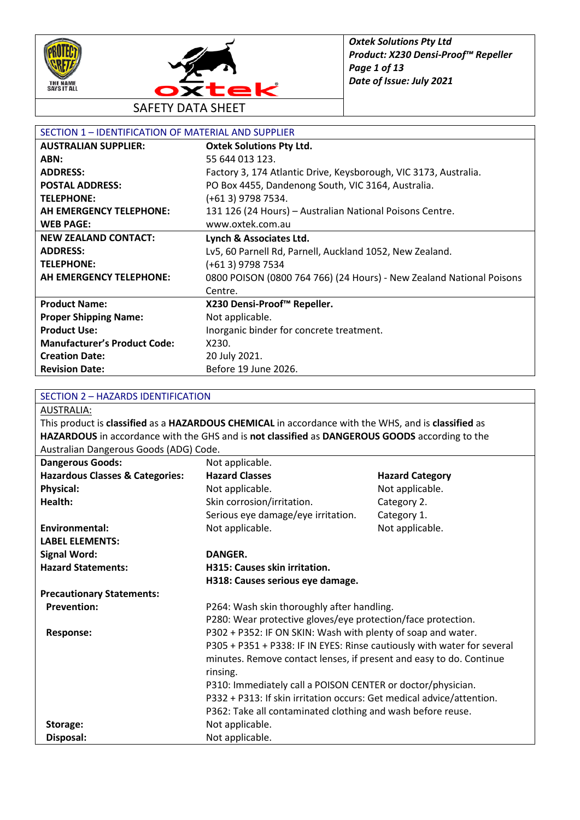



SAFETY DATA SHEET

| SECTION 1 - IDENTIFICATION OF MATERIAL AND SUPPLIER |                                                                      |  |
|-----------------------------------------------------|----------------------------------------------------------------------|--|
| <b>AUSTRALIAN SUPPLIER:</b>                         | <b>Oxtek Solutions Pty Ltd.</b>                                      |  |
| ABN:                                                | 55 644 013 123.                                                      |  |
| <b>ADDRESS:</b>                                     | Factory 3, 174 Atlantic Drive, Keysborough, VIC 3173, Australia.     |  |
| <b>POSTAL ADDRESS:</b>                              | PO Box 4455, Dandenong South, VIC 3164, Australia.                   |  |
| <b>TELEPHONE:</b>                                   | (+61 3) 9798 7534.                                                   |  |
| AH EMERGENCY TELEPHONE:                             | 131 126 (24 Hours) - Australian National Poisons Centre.             |  |
| <b>WEB PAGE:</b>                                    | www.oxtek.com.au                                                     |  |
| <b>NEW ZEALAND CONTACT:</b>                         | Lynch & Associates Ltd.                                              |  |
| <b>ADDRESS:</b>                                     | Lv5, 60 Parnell Rd, Parnell, Auckland 1052, New Zealand.             |  |
| <b>TELEPHONE:</b>                                   | (+61 3) 9798 7534                                                    |  |
| AH EMERGENCY TELEPHONE:                             | 0800 POISON (0800 764 766) (24 Hours) - New Zealand National Poisons |  |
|                                                     | Centre.                                                              |  |
| <b>Product Name:</b>                                | X230 Densi-Proof™ Repeller.                                          |  |
| <b>Proper Shipping Name:</b>                        | Not applicable.                                                      |  |
| <b>Product Use:</b>                                 | Inorganic binder for concrete treatment.                             |  |
| <b>Manufacturer's Product Code:</b>                 | X230.                                                                |  |
| <b>Creation Date:</b>                               | 20 July 2021.                                                        |  |
| <b>Revision Date:</b>                               | Before 19 June 2026.                                                 |  |

#### SECTION 2 – HAZARDS IDENTIFICATION

AUSTRALIA:

This product is **classified** as a **HAZARDOUS CHEMICAL** in accordance with the WHS, and is **classified** as **HAZARDOUS** in accordance with the GHS and is **not classified** as **DANGEROUS GOODS** according to the Australian Dangerous Goods (ADG) Code.

| <b>Dangerous Goods:</b>                    | Not applicable.                                                         |                        |
|--------------------------------------------|-------------------------------------------------------------------------|------------------------|
| <b>Hazardous Classes &amp; Categories:</b> | <b>Hazard Classes</b>                                                   | <b>Hazard Category</b> |
| <b>Physical:</b>                           | Not applicable.                                                         | Not applicable.        |
| Health:                                    | Skin corrosion/irritation.                                              | Category 2.            |
|                                            | Serious eye damage/eye irritation.                                      | Category 1.            |
| <b>Environmental:</b>                      | Not applicable.                                                         | Not applicable.        |
| <b>LABEL ELEMENTS:</b>                     |                                                                         |                        |
| <b>Signal Word:</b>                        | DANGER.                                                                 |                        |
| <b>Hazard Statements:</b>                  | H315: Causes skin irritation.                                           |                        |
|                                            | H318: Causes serious eye damage.                                        |                        |
| <b>Precautionary Statements:</b>           |                                                                         |                        |
| <b>Prevention:</b>                         | P264: Wash skin thoroughly after handling.                              |                        |
|                                            | P280: Wear protective gloves/eye protection/face protection.            |                        |
| Response:                                  | P302 + P352: IF ON SKIN: Wash with plenty of soap and water.            |                        |
|                                            | P305 + P351 + P338: IF IN EYES: Rinse cautiously with water for several |                        |
|                                            | minutes. Remove contact lenses, if present and easy to do. Continue     |                        |
|                                            | rinsing.                                                                |                        |
|                                            | P310: Immediately call a POISON CENTER or doctor/physician.             |                        |
|                                            | P332 + P313: If skin irritation occurs: Get medical advice/attention.   |                        |
|                                            | P362: Take all contaminated clothing and wash before reuse.             |                        |
| Storage:                                   | Not applicable.                                                         |                        |
| Disposal:                                  | Not applicable.                                                         |                        |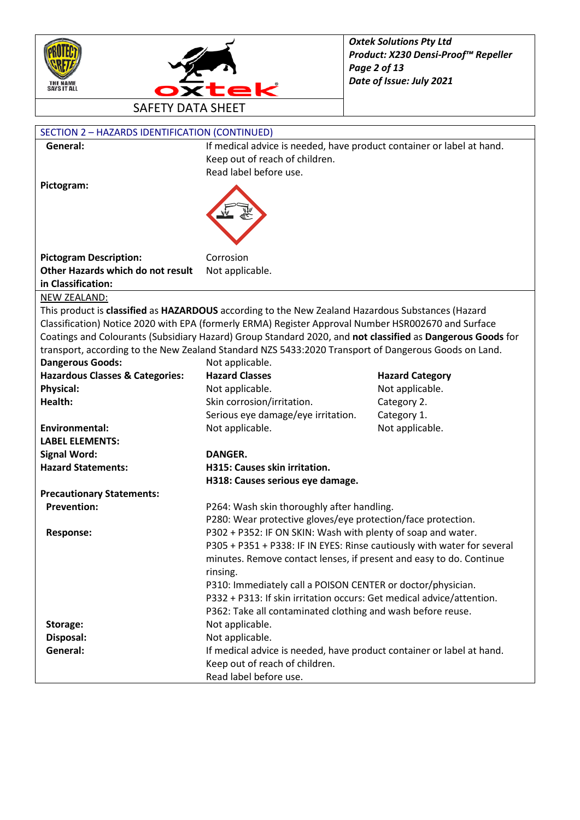



| SECTION 2 - HAZARDS IDENTIFICATION (CONTINUED) |                                                                                                            |                        |
|------------------------------------------------|------------------------------------------------------------------------------------------------------------|------------------------|
| General:                                       | If medical advice is needed, have product container or label at hand.                                      |                        |
|                                                | Keep out of reach of children.                                                                             |                        |
|                                                | Read label before use.                                                                                     |                        |
| Pictogram:                                     |                                                                                                            |                        |
|                                                |                                                                                                            |                        |
|                                                |                                                                                                            |                        |
|                                                |                                                                                                            |                        |
|                                                |                                                                                                            |                        |
| <b>Pictogram Description:</b>                  | Corrosion                                                                                                  |                        |
| Other Hazards which do not result              | Not applicable.                                                                                            |                        |
| in Classification:                             |                                                                                                            |                        |
| NEW ZEALAND:                                   |                                                                                                            |                        |
|                                                | This product is classified as HAZARDOUS according to the New Zealand Hazardous Substances (Hazard          |                        |
|                                                | Classification) Notice 2020 with EPA (formerly ERMA) Register Approval Number HSR002670 and Surface        |                        |
|                                                | Coatings and Colourants (Subsidiary Hazard) Group Standard 2020, and not classified as Dangerous Goods for |                        |
|                                                | transport, according to the New Zealand Standard NZS 5433:2020 Transport of Dangerous Goods on Land.       |                        |
| <b>Dangerous Goods:</b>                        | Not applicable.                                                                                            |                        |
| <b>Hazardous Classes &amp; Categories:</b>     | <b>Hazard Classes</b>                                                                                      | <b>Hazard Category</b> |
| <b>Physical:</b>                               | Not applicable.                                                                                            | Not applicable.        |
| Health:                                        | Skin corrosion/irritation.                                                                                 | Category 2.            |
|                                                | Serious eye damage/eye irritation.                                                                         | Category 1.            |
| <b>Environmental:</b>                          | Not applicable.                                                                                            | Not applicable.        |
| <b>LABEL ELEMENTS:</b>                         |                                                                                                            |                        |
| <b>Signal Word:</b>                            | <b>DANGER.</b>                                                                                             |                        |
| <b>Hazard Statements:</b>                      | H315: Causes skin irritation.                                                                              |                        |
|                                                | H318: Causes serious eye damage.                                                                           |                        |
| <b>Precautionary Statements:</b>               |                                                                                                            |                        |
| <b>Prevention:</b>                             | P264: Wash skin thoroughly after handling.                                                                 |                        |
|                                                | P280: Wear protective gloves/eye protection/face protection.                                               |                        |
| <b>Response:</b>                               | P302 + P352: IF ON SKIN: Wash with plenty of soap and water.                                               |                        |
|                                                | P305 + P351 + P338: IF IN EYES: Rinse cautiously with water for several                                    |                        |
|                                                | minutes. Remove contact lenses, if present and easy to do. Continue                                        |                        |
|                                                | rinsing.                                                                                                   |                        |
|                                                | P310: Immediately call a POISON CENTER or doctor/physician.                                                |                        |
|                                                | P332 + P313: If skin irritation occurs: Get medical advice/attention.                                      |                        |
|                                                | P362: Take all contaminated clothing and wash before reuse.                                                |                        |
| Storage:                                       | Not applicable.                                                                                            |                        |
| Disposal:                                      | Not applicable.                                                                                            |                        |
| General:                                       | If medical advice is needed, have product container or label at hand.                                      |                        |
|                                                | Keep out of reach of children.                                                                             |                        |
|                                                | Read label before use.                                                                                     |                        |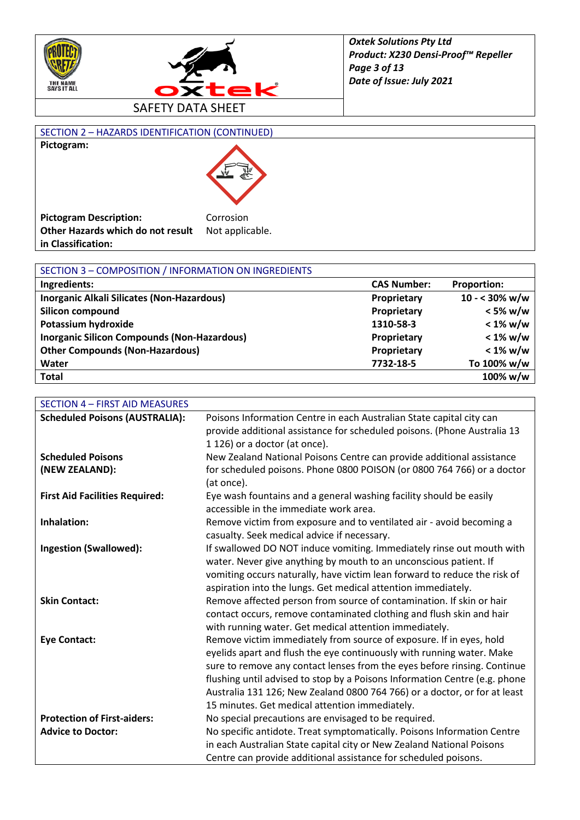



SECTION 2 – HAZARDS IDENTIFICATION (CONTINUED)



| SECTION 3 - COMPOSITION / INFORMATION ON INGREDIENTS |                    |                         |
|------------------------------------------------------|--------------------|-------------------------|
| Ingredients:                                         | <b>CAS Number:</b> | <b>Proportion:</b>      |
| Inorganic Alkali Silicates (Non-Hazardous)           | Proprietary        | $10 - 30\% \text{ w/w}$ |
| <b>Silicon compound</b>                              | Proprietary        | $<$ 5% w/w              |
| Potassium hydroxide                                  | 1310-58-3          | $< 1\%$ w/w             |
| <b>Inorganic Silicon Compounds (Non-Hazardous)</b>   | Proprietary        | $< 1\%$ w/w             |
| <b>Other Compounds (Non-Hazardous)</b>               | Proprietary        | $< 1\%$ w/w             |
| Water                                                | 7732-18-5          | To 100% w/w             |
| <b>Total</b>                                         |                    | 100% w/w                |

| <b>SECTION 4 - FIRST AID MEASURES</b> |                                                                                                              |
|---------------------------------------|--------------------------------------------------------------------------------------------------------------|
| <b>Scheduled Poisons (AUSTRALIA):</b> | Poisons Information Centre in each Australian State capital city can                                         |
|                                       | provide additional assistance for scheduled poisons. (Phone Australia 13                                     |
|                                       | 1 126) or a doctor (at once).                                                                                |
| <b>Scheduled Poisons</b>              | New Zealand National Poisons Centre can provide additional assistance                                        |
| (NEW ZEALAND):                        | for scheduled poisons. Phone 0800 POISON (or 0800 764 766) or a doctor<br>(at once).                         |
| <b>First Aid Facilities Required:</b> | Eye wash fountains and a general washing facility should be easily<br>accessible in the immediate work area. |
| Inhalation:                           | Remove victim from exposure and to ventilated air - avoid becoming a                                         |
|                                       | casualty. Seek medical advice if necessary.                                                                  |
| <b>Ingestion (Swallowed):</b>         | If swallowed DO NOT induce vomiting. Immediately rinse out mouth with                                        |
|                                       | water. Never give anything by mouth to an unconscious patient. If                                            |
|                                       | vomiting occurs naturally, have victim lean forward to reduce the risk of                                    |
|                                       | aspiration into the lungs. Get medical attention immediately.                                                |
| <b>Skin Contact:</b>                  | Remove affected person from source of contamination. If skin or hair                                         |
|                                       | contact occurs, remove contaminated clothing and flush skin and hair                                         |
|                                       | with running water. Get medical attention immediately.                                                       |
| <b>Eye Contact:</b>                   | Remove victim immediately from source of exposure. If in eyes, hold                                          |
|                                       | eyelids apart and flush the eye continuously with running water. Make                                        |
|                                       | sure to remove any contact lenses from the eyes before rinsing. Continue                                     |
|                                       | flushing until advised to stop by a Poisons Information Centre (e.g. phone                                   |
|                                       | Australia 131 126; New Zealand 0800 764 766) or a doctor, or for at least                                    |
|                                       | 15 minutes. Get medical attention immediately.                                                               |
| <b>Protection of First-aiders:</b>    | No special precautions are envisaged to be required.                                                         |
| <b>Advice to Doctor:</b>              | No specific antidote. Treat symptomatically. Poisons Information Centre                                      |
|                                       | in each Australian State capital city or New Zealand National Poisons                                        |
|                                       | Centre can provide additional assistance for scheduled poisons.                                              |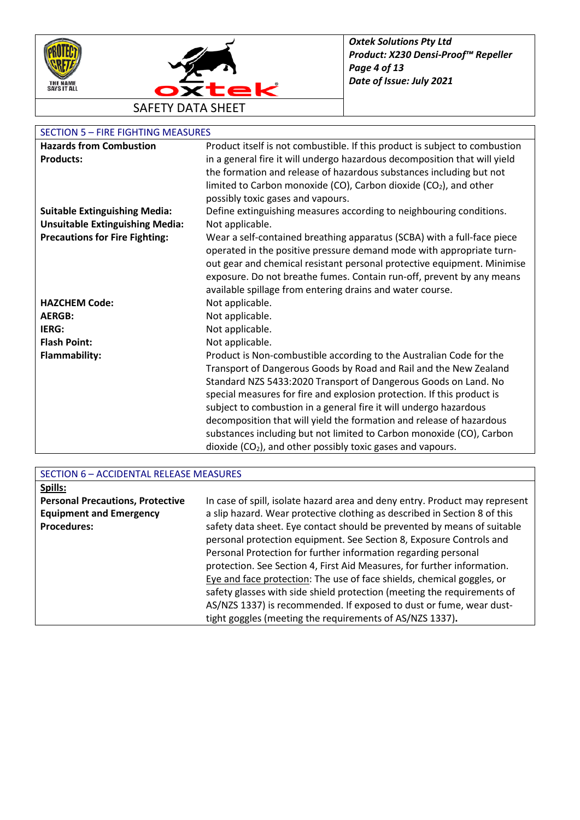



### SECTION 5 – FIRE FIGHTING MEASURES

| <b>Hazards from Combustion</b>         | Product itself is not combustible. If this product is subject to combustion |
|----------------------------------------|-----------------------------------------------------------------------------|
| <b>Products:</b>                       | in a general fire it will undergo hazardous decomposition that will yield   |
|                                        | the formation and release of hazardous substances including but not         |
|                                        | limited to Carbon monoxide (CO), Carbon dioxide (CO2), and other            |
|                                        | possibly toxic gases and vapours.                                           |
| <b>Suitable Extinguishing Media:</b>   | Define extinguishing measures according to neighbouring conditions.         |
| <b>Unsuitable Extinguishing Media:</b> | Not applicable.                                                             |
| <b>Precautions for Fire Fighting:</b>  | Wear a self-contained breathing apparatus (SCBA) with a full-face piece     |
|                                        | operated in the positive pressure demand mode with appropriate turn-        |
|                                        | out gear and chemical resistant personal protective equipment. Minimise     |
|                                        | exposure. Do not breathe fumes. Contain run-off, prevent by any means       |
|                                        | available spillage from entering drains and water course.                   |
| <b>HAZCHEM Code:</b>                   | Not applicable.                                                             |
| <b>AERGB:</b>                          | Not applicable.                                                             |
| IERG:                                  | Not applicable.                                                             |
| <b>Flash Point:</b>                    | Not applicable.                                                             |
| <b>Flammability:</b>                   | Product is Non-combustible according to the Australian Code for the         |
|                                        | Transport of Dangerous Goods by Road and Rail and the New Zealand           |
|                                        | Standard NZS 5433:2020 Transport of Dangerous Goods on Land. No             |
|                                        | special measures for fire and explosion protection. If this product is      |
|                                        | subject to combustion in a general fire it will undergo hazardous           |
|                                        | decomposition that will yield the formation and release of hazardous        |
|                                        | substances including but not limited to Carbon monoxide (CO), Carbon        |
|                                        | dioxide $(CO2)$ , and other possibly toxic gases and vapours.               |

| SECTION 6 - ACCIDENTAL RELEASE MEASURES |                                                                             |  |
|-----------------------------------------|-----------------------------------------------------------------------------|--|
| Spills:                                 |                                                                             |  |
| <b>Personal Precautions, Protective</b> | In case of spill, isolate hazard area and deny entry. Product may represent |  |
| <b>Equipment and Emergency</b>          | a slip hazard. Wear protective clothing as described in Section 8 of this   |  |
| <b>Procedures:</b>                      | safety data sheet. Eye contact should be prevented by means of suitable     |  |
|                                         | personal protection equipment. See Section 8, Exposure Controls and         |  |
|                                         | Personal Protection for further information regarding personal              |  |
|                                         | protection. See Section 4, First Aid Measures, for further information.     |  |
|                                         | Eye and face protection: The use of face shields, chemical goggles, or      |  |
|                                         | safety glasses with side shield protection (meeting the requirements of     |  |
|                                         | AS/NZS 1337) is recommended. If exposed to dust or fume, wear dust-         |  |
|                                         | tight goggles (meeting the requirements of AS/NZS 1337).                    |  |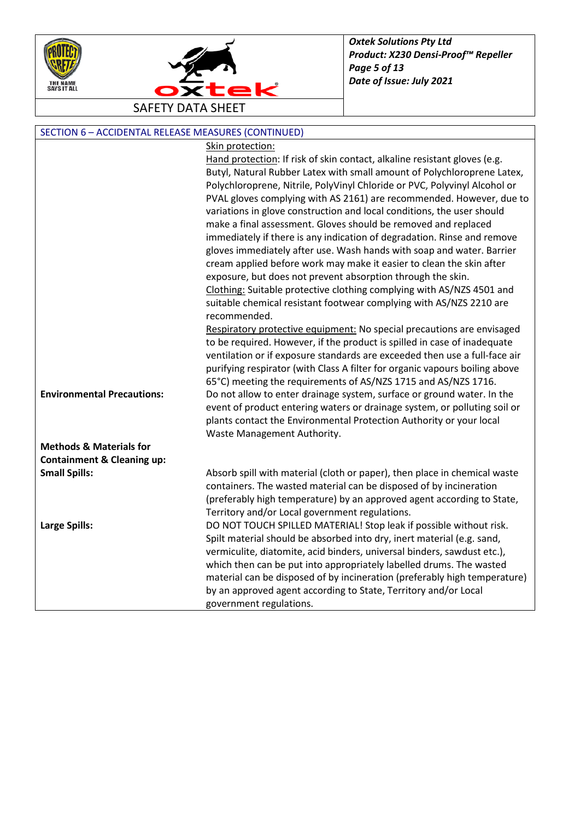



SAFETY DATA SHEET

| SECTION 6 - ACCIDENTAL RELEASE MEASURES (CONTINUED) |                                                                                                                          |  |
|-----------------------------------------------------|--------------------------------------------------------------------------------------------------------------------------|--|
|                                                     | Skin protection:                                                                                                         |  |
|                                                     | Hand protection: If risk of skin contact, alkaline resistant gloves (e.g.                                                |  |
|                                                     | Butyl, Natural Rubber Latex with small amount of Polychloroprene Latex,                                                  |  |
|                                                     | Polychloroprene, Nitrile, PolyVinyl Chloride or PVC, Polyvinyl Alcohol or                                                |  |
|                                                     | PVAL gloves complying with AS 2161) are recommended. However, due to                                                     |  |
|                                                     | variations in glove construction and local conditions, the user should                                                   |  |
|                                                     | make a final assessment. Gloves should be removed and replaced                                                           |  |
|                                                     | immediately if there is any indication of degradation. Rinse and remove                                                  |  |
|                                                     | gloves immediately after use. Wash hands with soap and water. Barrier                                                    |  |
|                                                     | cream applied before work may make it easier to clean the skin after                                                     |  |
|                                                     | exposure, but does not prevent absorption through the skin.                                                              |  |
|                                                     | Clothing: Suitable protective clothing complying with AS/NZS 4501 and                                                    |  |
|                                                     | suitable chemical resistant footwear complying with AS/NZS 2210 are                                                      |  |
|                                                     | recommended.                                                                                                             |  |
|                                                     | Respiratory protective equipment: No special precautions are envisaged                                                   |  |
|                                                     | to be required. However, if the product is spilled in case of inadequate                                                 |  |
|                                                     | ventilation or if exposure standards are exceeded then use a full-face air                                               |  |
|                                                     | purifying respirator (with Class A filter for organic vapours boiling above                                              |  |
|                                                     | 65°C) meeting the requirements of AS/NZS 1715 and AS/NZS 1716.                                                           |  |
| <b>Environmental Precautions:</b>                   | Do not allow to enter drainage system, surface or ground water. In the                                                   |  |
|                                                     | event of product entering waters or drainage system, or polluting soil or                                                |  |
|                                                     | plants contact the Environmental Protection Authority or your local                                                      |  |
|                                                     | Waste Management Authority.                                                                                              |  |
| <b>Methods &amp; Materials for</b>                  |                                                                                                                          |  |
| <b>Containment &amp; Cleaning up:</b>               |                                                                                                                          |  |
| <b>Small Spills:</b>                                | Absorb spill with material (cloth or paper), then place in chemical waste                                                |  |
|                                                     | containers. The wasted material can be disposed of by incineration                                                       |  |
|                                                     | (preferably high temperature) by an approved agent according to State,<br>Territory and/or Local government regulations. |  |
| <b>Large Spills:</b>                                | DO NOT TOUCH SPILLED MATERIAL! Stop leak if possible without risk.                                                       |  |
|                                                     | Spilt material should be absorbed into dry, inert material (e.g. sand,                                                   |  |
|                                                     | vermiculite, diatomite, acid binders, universal binders, sawdust etc.),                                                  |  |
|                                                     | which then can be put into appropriately labelled drums. The wasted                                                      |  |
|                                                     | material can be disposed of by incineration (preferably high temperature)                                                |  |
|                                                     | by an approved agent according to State, Territory and/or Local                                                          |  |
|                                                     | government regulations.                                                                                                  |  |
|                                                     |                                                                                                                          |  |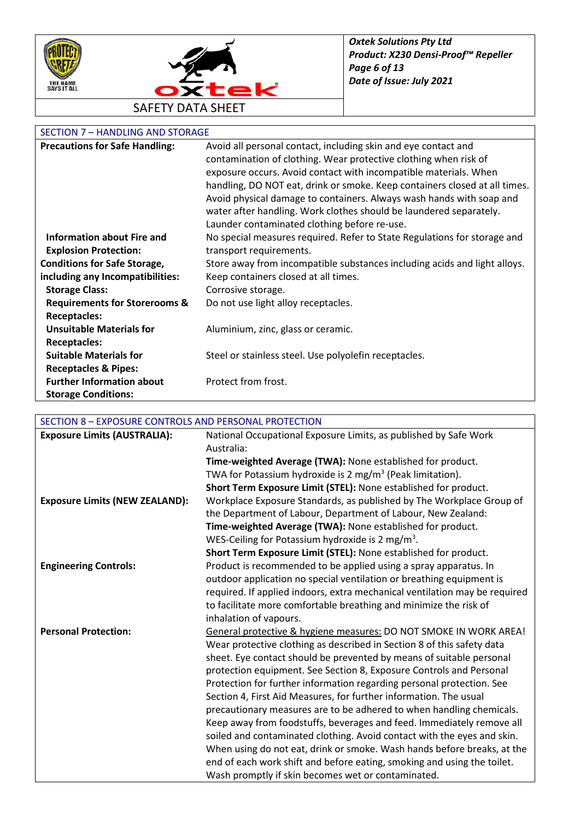



# SECTION 7 - HANDLING AND STORAGE

| <b>Precautions for Safe Handling:</b>    | Avoid all personal contact, including skin and eye contact and<br>contamination of clothing. Wear protective clothing when risk of<br>exposure occurs. Avoid contact with incompatible materials. When<br>handling, DO NOT eat, drink or smoke. Keep containers closed at all times. |
|------------------------------------------|--------------------------------------------------------------------------------------------------------------------------------------------------------------------------------------------------------------------------------------------------------------------------------------|
|                                          | Avoid physical damage to containers. Always wash hands with soap and<br>water after handling. Work clothes should be laundered separately.                                                                                                                                           |
|                                          | Launder contaminated clothing before re-use.                                                                                                                                                                                                                                         |
| <b>Information about Fire and</b>        | No special measures required. Refer to State Regulations for storage and                                                                                                                                                                                                             |
| <b>Explosion Protection:</b>             | transport requirements.                                                                                                                                                                                                                                                              |
| <b>Conditions for Safe Storage,</b>      | Store away from incompatible substances including acids and light alloys.                                                                                                                                                                                                            |
| including any Incompatibilities:         | Keep containers closed at all times.                                                                                                                                                                                                                                                 |
| <b>Storage Class:</b>                    | Corrosive storage.                                                                                                                                                                                                                                                                   |
| <b>Requirements for Storerooms &amp;</b> | Do not use light alloy receptacles.                                                                                                                                                                                                                                                  |
| <b>Receptacles:</b>                      |                                                                                                                                                                                                                                                                                      |
| <b>Unsuitable Materials for</b>          | Aluminium, zinc, glass or ceramic.                                                                                                                                                                                                                                                   |
| <b>Receptacles:</b>                      |                                                                                                                                                                                                                                                                                      |
| <b>Suitable Materials for</b>            | Steel or stainless steel. Use polyolefin receptacles.                                                                                                                                                                                                                                |
| <b>Receptacles &amp; Pipes:</b>          |                                                                                                                                                                                                                                                                                      |
| <b>Further Information about</b>         | Protect from frost.                                                                                                                                                                                                                                                                  |
| <b>Storage Conditions:</b>               |                                                                                                                                                                                                                                                                                      |

## SECTION 8 – EXPOSURE CONTROLS AND PERSONAL PROTECTION

| <b>Exposure Limits (AUSTRALIA):</b>   | National Occupational Exposure Limits, as published by Safe Work           |
|---------------------------------------|----------------------------------------------------------------------------|
|                                       | Australia:                                                                 |
|                                       | Time-weighted Average (TWA): None established for product.                 |
|                                       | TWA for Potassium hydroxide is 2 mg/m <sup>3</sup> (Peak limitation).      |
|                                       | Short Term Exposure Limit (STEL): None established for product.            |
| <b>Exposure Limits (NEW ZEALAND):</b> | Workplace Exposure Standards, as published by The Workplace Group of       |
|                                       | the Department of Labour, Department of Labour, New Zealand:               |
|                                       | Time-weighted Average (TWA): None established for product.                 |
|                                       | WES-Ceiling for Potassium hydroxide is 2 mg/m <sup>3</sup> .               |
|                                       | Short Term Exposure Limit (STEL): None established for product.            |
| <b>Engineering Controls:</b>          | Product is recommended to be applied using a spray apparatus. In           |
|                                       | outdoor application no special ventilation or breathing equipment is       |
|                                       | required. If applied indoors, extra mechanical ventilation may be required |
|                                       | to facilitate more comfortable breathing and minimize the risk of          |
|                                       | inhalation of vapours.                                                     |
| <b>Personal Protection:</b>           | General protective & hygiene measures: DO NOT SMOKE IN WORK AREA!          |
|                                       | Wear protective clothing as described in Section 8 of this safety data     |
|                                       | sheet. Eye contact should be prevented by means of suitable personal       |
|                                       | protection equipment. See Section 8, Exposure Controls and Personal        |
|                                       | Protection for further information regarding personal protection. See      |
|                                       | Section 4, First Aid Measures, for further information. The usual          |
|                                       | precautionary measures are to be adhered to when handling chemicals.       |
|                                       | Keep away from foodstuffs, beverages and feed. Immediately remove all      |
|                                       | soiled and contaminated clothing. Avoid contact with the eyes and skin.    |
|                                       | When using do not eat, drink or smoke. Wash hands before breaks, at the    |
|                                       | end of each work shift and before eating, smoking and using the toilet.    |
|                                       | Wash promptly if skin becomes wet or contaminated.                         |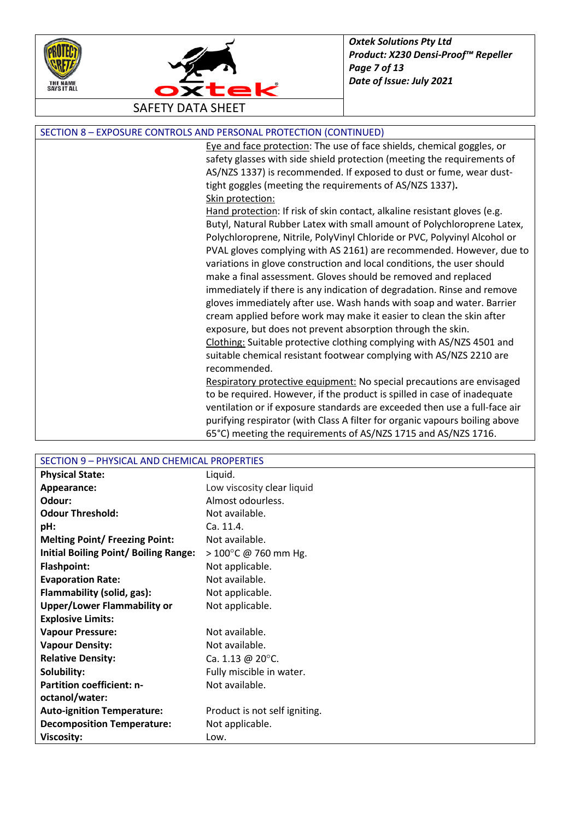



| SECTION 8 - EXPOSURE CONTROLS AND PERSONAL PROTECTION (CONTINUED) |  |  |
|-------------------------------------------------------------------|--|--|
|-------------------------------------------------------------------|--|--|

Eye and face protection: The use of face shields, chemical goggles, or safety glasses with side shield protection (meeting the requirements of AS/NZS 1337) is recommended. If exposed to dust or fume, wear dusttight goggles (meeting the requirements of AS/NZS 1337)**.** Skin protection:

Hand protection: If risk of skin contact, alkaline resistant gloves (e.g. Butyl, Natural Rubber Latex with small amount of Polychloroprene Latex, Polychloroprene, Nitrile, PolyVinyl Chloride or PVC, Polyvinyl Alcohol or PVAL gloves complying with AS 2161) are recommended. However, due to variations in glove construction and local conditions, the user should make a final assessment. Gloves should be removed and replaced immediately if there is any indication of degradation. Rinse and remove gloves immediately after use. Wash hands with soap and water. Barrier cream applied before work may make it easier to clean the skin after exposure, but does not prevent absorption through the skin. Clothing: Suitable protective clothing complying with AS/NZS 4501 and suitable chemical resistant footwear complying with AS/NZS 2210 are recommended.

Respiratory protective equipment: No special precautions are envisaged to be required. However, if the product is spilled in case of inadequate ventilation or if exposure standards are exceeded then use a full-face air purifying respirator (with Class A filter for organic vapours boiling above 65°C) meeting the requirements of AS/NZS 1715 and AS/NZS 1716.

| SECTION 9 - PHYSICAL AND CHEMICAL PROPERTIES |                                |  |
|----------------------------------------------|--------------------------------|--|
| <b>Physical State:</b>                       | Liquid.                        |  |
| Appearance:                                  | Low viscosity clear liquid     |  |
| Odour:                                       | Almost odourless.              |  |
| <b>Odour Threshold:</b>                      | Not available.                 |  |
| pH:                                          | Ca. 11.4.                      |  |
| <b>Melting Point/ Freezing Point:</b>        | Not available.                 |  |
| Initial Boiling Point/ Boiling Range:        | $> 100^{\circ}$ C @ 760 mm Hg. |  |
| <b>Flashpoint:</b>                           | Not applicable.                |  |
| <b>Evaporation Rate:</b>                     | Not available.                 |  |
| Flammability (solid, gas):                   | Not applicable.                |  |
| <b>Upper/Lower Flammability or</b>           | Not applicable.                |  |
| <b>Explosive Limits:</b>                     |                                |  |
| <b>Vapour Pressure:</b>                      | Not available.                 |  |
| <b>Vapour Density:</b>                       | Not available.                 |  |
| <b>Relative Density:</b>                     | Ca. 1.13 @ 20 $^{\circ}$ C.    |  |
| Solubility:                                  | Fully miscible in water.       |  |
| <b>Partition coefficient: n-</b>             | Not available.                 |  |
| octanol/water:                               |                                |  |
| <b>Auto-ignition Temperature:</b>            | Product is not self igniting.  |  |
| <b>Decomposition Temperature:</b>            | Not applicable.                |  |
| <b>Viscosity:</b>                            | Low.                           |  |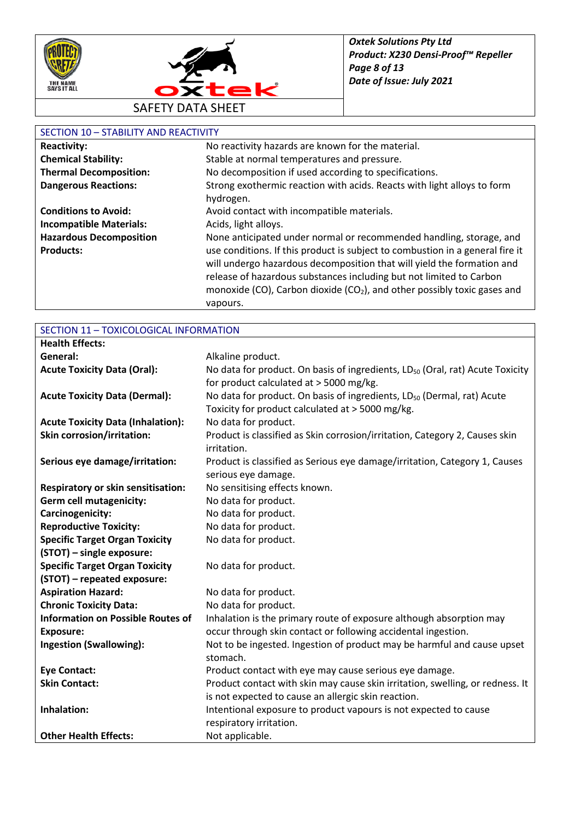



#### SECTION 10 – STABILITY AND REACTIVITY

| <b>Reactivity:</b>             | No reactivity hazards are known for the material.                                    |
|--------------------------------|--------------------------------------------------------------------------------------|
| <b>Chemical Stability:</b>     | Stable at normal temperatures and pressure.                                          |
| <b>Thermal Decomposition:</b>  | No decomposition if used according to specifications.                                |
| <b>Dangerous Reactions:</b>    | Strong exothermic reaction with acids. Reacts with light alloys to form              |
|                                | hydrogen.                                                                            |
| <b>Conditions to Avoid:</b>    | Avoid contact with incompatible materials.                                           |
| <b>Incompatible Materials:</b> | Acids, light alloys.                                                                 |
| <b>Hazardous Decomposition</b> | None anticipated under normal or recommended handling, storage, and                  |
| <b>Products:</b>               | use conditions. If this product is subject to combustion in a general fire it        |
|                                | will undergo hazardous decomposition that will yield the formation and               |
|                                | release of hazardous substances including but not limited to Carbon                  |
|                                | monoxide (CO), Carbon dioxide (CO <sub>2</sub> ), and other possibly toxic gases and |
|                                | vapours.                                                                             |

| SECTION 11 - TOXICOLOGICAL INFORMATION    |                                                                                           |
|-------------------------------------------|-------------------------------------------------------------------------------------------|
| <b>Health Effects:</b>                    |                                                                                           |
| General:                                  | Alkaline product.                                                                         |
| <b>Acute Toxicity Data (Oral):</b>        | No data for product. On basis of ingredients, LD <sub>50</sub> (Oral, rat) Acute Toxicity |
|                                           | for product calculated at > 5000 mg/kg.                                                   |
| <b>Acute Toxicity Data (Dermal):</b>      | No data for product. On basis of ingredients, LD <sub>50</sub> (Dermal, rat) Acute        |
|                                           | Toxicity for product calculated at > 5000 mg/kg.                                          |
| <b>Acute Toxicity Data (Inhalation):</b>  | No data for product.                                                                      |
| <b>Skin corrosion/irritation:</b>         | Product is classified as Skin corrosion/irritation, Category 2, Causes skin               |
|                                           | irritation.                                                                               |
| Serious eye damage/irritation:            | Product is classified as Serious eye damage/irritation, Category 1, Causes                |
|                                           | serious eye damage.                                                                       |
| <b>Respiratory or skin sensitisation:</b> | No sensitising effects known.                                                             |
| Germ cell mutagenicity:                   | No data for product.                                                                      |
| Carcinogenicity:                          | No data for product.                                                                      |
| <b>Reproductive Toxicity:</b>             | No data for product.                                                                      |
| <b>Specific Target Organ Toxicity</b>     | No data for product.                                                                      |
| (STOT) - single exposure:                 |                                                                                           |
| <b>Specific Target Organ Toxicity</b>     | No data for product.                                                                      |
| (STOT) - repeated exposure:               |                                                                                           |
| <b>Aspiration Hazard:</b>                 | No data for product.                                                                      |
| <b>Chronic Toxicity Data:</b>             | No data for product.                                                                      |
| <b>Information on Possible Routes of</b>  | Inhalation is the primary route of exposure although absorption may                       |
| <b>Exposure:</b>                          | occur through skin contact or following accidental ingestion.                             |
| <b>Ingestion (Swallowing):</b>            | Not to be ingested. Ingestion of product may be harmful and cause upset                   |
|                                           | stomach.                                                                                  |
| <b>Eye Contact:</b>                       | Product contact with eye may cause serious eye damage.                                    |
| <b>Skin Contact:</b>                      | Product contact with skin may cause skin irritation, swelling, or redness. It             |
|                                           | is not expected to cause an allergic skin reaction.                                       |
| Inhalation:                               | Intentional exposure to product vapours is not expected to cause                          |
|                                           | respiratory irritation.                                                                   |
| <b>Other Health Effects:</b>              | Not applicable.                                                                           |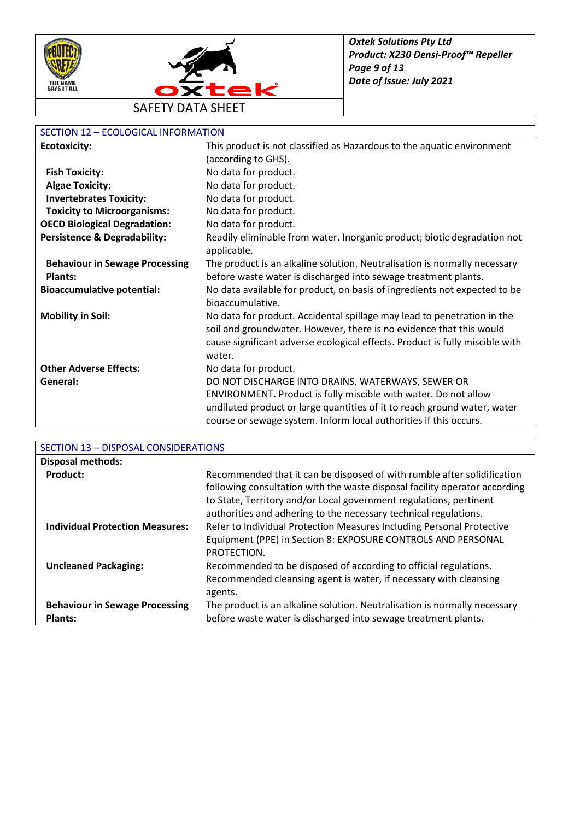



# SECTION 12 – ECOLOGICAL INFORMATION

| <u> SECTION 12 – ECOLOGICAL INI ONWATION</u> |                                                                                         |
|----------------------------------------------|-----------------------------------------------------------------------------------------|
| <b>Ecotoxicity:</b>                          | This product is not classified as Hazardous to the aquatic environment                  |
|                                              | (according to GHS).                                                                     |
| <b>Fish Toxicity:</b>                        | No data for product.                                                                    |
| <b>Algae Toxicity:</b>                       | No data for product.                                                                    |
| <b>Invertebrates Toxicity:</b>               | No data for product.                                                                    |
| <b>Toxicity to Microorganisms:</b>           | No data for product.                                                                    |
| <b>OECD Biological Degradation:</b>          | No data for product.                                                                    |
| <b>Persistence &amp; Degradability:</b>      | Readily eliminable from water. Inorganic product; biotic degradation not<br>applicable. |
| <b>Behaviour in Sewage Processing</b>        | The product is an alkaline solution. Neutralisation is normally necessary               |
| <b>Plants:</b>                               | before waste water is discharged into sewage treatment plants.                          |
| <b>Bioaccumulative potential:</b>            | No data available for product, on basis of ingredients not expected to be               |
|                                              | bioaccumulative.                                                                        |
| <b>Mobility in Soil:</b>                     | No data for product. Accidental spillage may lead to penetration in the                 |
|                                              | soil and groundwater. However, there is no evidence that this would                     |
|                                              | cause significant adverse ecological effects. Product is fully miscible with            |
|                                              | water.                                                                                  |
| <b>Other Adverse Effects:</b>                | No data for product.                                                                    |
| General:                                     | DO NOT DISCHARGE INTO DRAINS, WATERWAYS, SEWER OR                                       |
|                                              | ENVIRONMENT. Product is fully miscible with water. Do not allow                         |
|                                              | undiluted product or large quantities of it to reach ground water, water                |
|                                              | course or sewage system. Inform local authorities if this occurs.                       |

| SECTION 13 - DISPOSAL CONSIDERATIONS   |                                                                                                                                                                                                                                                                                                 |
|----------------------------------------|-------------------------------------------------------------------------------------------------------------------------------------------------------------------------------------------------------------------------------------------------------------------------------------------------|
| <b>Disposal methods:</b>               |                                                                                                                                                                                                                                                                                                 |
| <b>Product:</b>                        | Recommended that it can be disposed of with rumble after solidification<br>following consultation with the waste disposal facility operator according<br>to State, Territory and/or Local government regulations, pertinent<br>authorities and adhering to the necessary technical regulations. |
| <b>Individual Protection Measures:</b> | Refer to Individual Protection Measures Including Personal Protective<br>Equipment (PPE) in Section 8: EXPOSURE CONTROLS AND PERSONAL<br>PROTECTION.                                                                                                                                            |
| <b>Uncleaned Packaging:</b>            | Recommended to be disposed of according to official regulations.<br>Recommended cleansing agent is water, if necessary with cleansing<br>agents.                                                                                                                                                |
| <b>Behaviour in Sewage Processing</b>  | The product is an alkaline solution. Neutralisation is normally necessary                                                                                                                                                                                                                       |
| <b>Plants:</b>                         | before waste water is discharged into sewage treatment plants.                                                                                                                                                                                                                                  |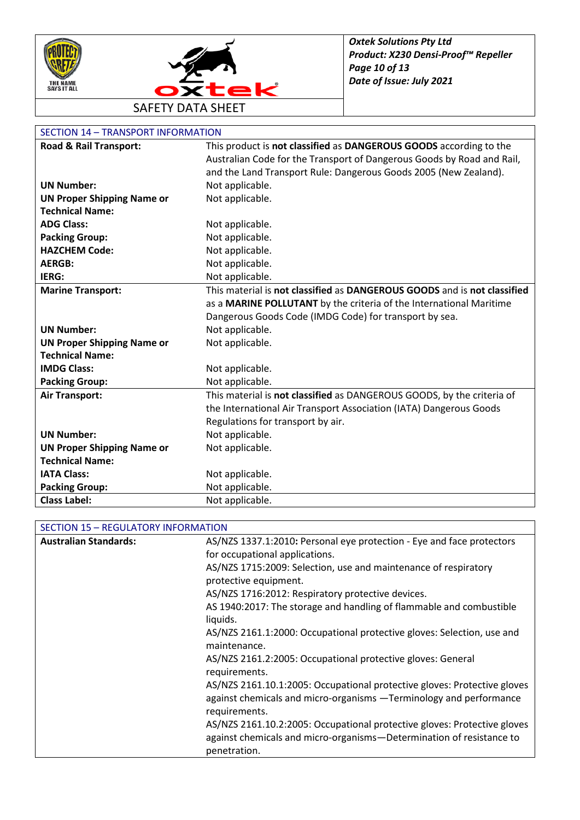



| <b>SECTION 14 - TRANSPORT INFORMATION</b> |                                                                          |
|-------------------------------------------|--------------------------------------------------------------------------|
| Road & Rail Transport:                    | This product is not classified as DANGEROUS GOODS according to the       |
|                                           | Australian Code for the Transport of Dangerous Goods by Road and Rail,   |
|                                           | and the Land Transport Rule: Dangerous Goods 2005 (New Zealand).         |
| <b>UN Number:</b>                         | Not applicable.                                                          |
| <b>UN Proper Shipping Name or</b>         | Not applicable.                                                          |
| <b>Technical Name:</b>                    |                                                                          |
| <b>ADG Class:</b>                         | Not applicable.                                                          |
| <b>Packing Group:</b>                     | Not applicable.                                                          |
| <b>HAZCHEM Code:</b>                      | Not applicable.                                                          |
| <b>AERGB:</b>                             | Not applicable.                                                          |
| IERG:                                     | Not applicable.                                                          |
| <b>Marine Transport:</b>                  | This material is not classified as DANGEROUS GOODS and is not classified |
|                                           | as a MARINE POLLUTANT by the criteria of the International Maritime      |
|                                           | Dangerous Goods Code (IMDG Code) for transport by sea.                   |
| <b>UN Number:</b>                         | Not applicable.                                                          |
| <b>UN Proper Shipping Name or</b>         | Not applicable.                                                          |
| <b>Technical Name:</b>                    |                                                                          |
| <b>IMDG Class:</b>                        | Not applicable.                                                          |
| <b>Packing Group:</b>                     | Not applicable.                                                          |
| <b>Air Transport:</b>                     | This material is not classified as DANGEROUS GOODS, by the criteria of   |
|                                           | the International Air Transport Association (IATA) Dangerous Goods       |
|                                           | Regulations for transport by air.                                        |
| <b>UN Number:</b>                         | Not applicable.                                                          |
| <b>UN Proper Shipping Name or</b>         | Not applicable.                                                          |
| <b>Technical Name:</b>                    |                                                                          |
| <b>IATA Class:</b>                        | Not applicable.                                                          |
| <b>Packing Group:</b>                     | Not applicable.                                                          |
| <b>Class Label:</b>                       | Not applicable.                                                          |

#### SECTION 15 – REGULATORY INFORMATION

| <b>Australian Standards:</b> | AS/NZS 1337.1:2010: Personal eye protection - Eye and face protectors                                                                                            |
|------------------------------|------------------------------------------------------------------------------------------------------------------------------------------------------------------|
|                              | for occupational applications.                                                                                                                                   |
|                              | AS/NZS 1715:2009: Selection, use and maintenance of respiratory                                                                                                  |
|                              | protective equipment.                                                                                                                                            |
|                              | AS/NZS 1716:2012: Respiratory protective devices.                                                                                                                |
|                              | AS 1940:2017: The storage and handling of flammable and combustible<br>liquids.                                                                                  |
|                              | AS/NZS 2161.1:2000: Occupational protective gloves: Selection, use and<br>maintenance.                                                                           |
|                              | AS/NZS 2161.2:2005: Occupational protective gloves: General<br>requirements.                                                                                     |
|                              | AS/NZS 2161.10.1:2005: Occupational protective gloves: Protective gloves<br>against chemicals and micro-organisms -Terminology and performance<br>requirements.  |
|                              | AS/NZS 2161.10.2:2005: Occupational protective gloves: Protective gloves<br>against chemicals and micro-organisms-Determination of resistance to<br>penetration. |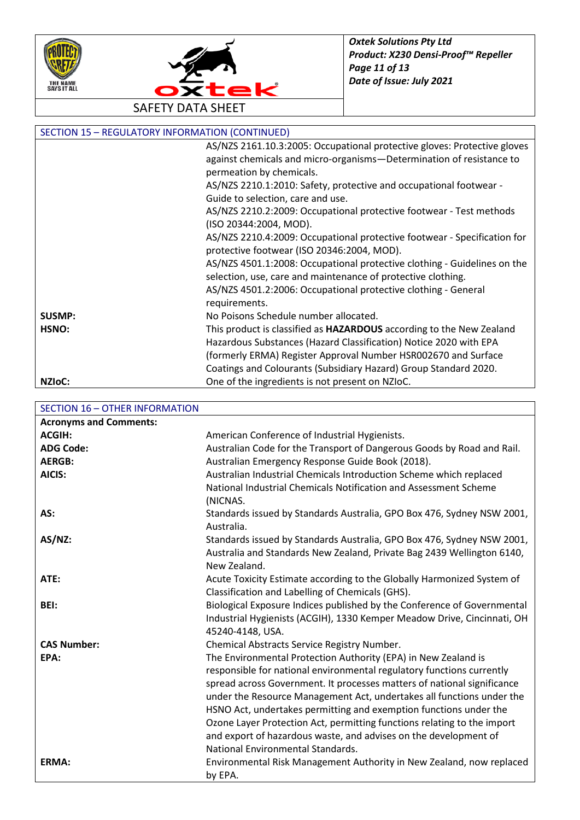



|                     | <b>SECTION 15 - REGULATORY INFORMATION (CONTINUED)</b>                      |
|---------------------|-----------------------------------------------------------------------------|
|                     | AS/NZS 2161.10.3:2005: Occupational protective gloves: Protective gloves    |
|                     | against chemicals and micro-organisms-Determination of resistance to        |
|                     | permeation by chemicals.                                                    |
|                     | AS/NZS 2210.1:2010: Safety, protective and occupational footwear -          |
|                     | Guide to selection, care and use.                                           |
|                     | AS/NZS 2210.2:2009: Occupational protective footwear - Test methods         |
|                     | (ISO 20344:2004, MOD).                                                      |
|                     | AS/NZS 2210.4:2009: Occupational protective footwear - Specification for    |
|                     | protective footwear (ISO 20346:2004, MOD).                                  |
|                     | AS/NZS 4501.1:2008: Occupational protective clothing - Guidelines on the    |
|                     | selection, use, care and maintenance of protective clothing.                |
|                     | AS/NZS 4501.2:2006: Occupational protective clothing - General              |
|                     | requirements.                                                               |
| <b>SUSMP:</b>       | No Poisons Schedule number allocated.                                       |
| HSNO:               | This product is classified as <b>HAZARDOUS</b> according to the New Zealand |
|                     | Hazardous Substances (Hazard Classification) Notice 2020 with EPA           |
|                     | (formerly ERMA) Register Approval Number HSR002670 and Surface              |
|                     | Coatings and Colourants (Subsidiary Hazard) Group Standard 2020.            |
| NZI <sub>o</sub> C: | One of the ingredients is not present on NZIoC.                             |

SECTION 16 – OTHER INFORMATION

| <b>Acronyms and Comments:</b> |                                                                         |
|-------------------------------|-------------------------------------------------------------------------|
| <b>ACGIH:</b>                 | American Conference of Industrial Hygienists.                           |
| <b>ADG Code:</b>              | Australian Code for the Transport of Dangerous Goods by Road and Rail.  |
| <b>AERGB:</b>                 | Australian Emergency Response Guide Book (2018).                        |
| AICIS:                        | Australian Industrial Chemicals Introduction Scheme which replaced      |
|                               | National Industrial Chemicals Notification and Assessment Scheme        |
|                               | (NICNAS.                                                                |
| AS:                           | Standards issued by Standards Australia, GPO Box 476, Sydney NSW 2001,  |
|                               | Australia.                                                              |
| AS/NZ:                        | Standards issued by Standards Australia, GPO Box 476, Sydney NSW 2001,  |
|                               | Australia and Standards New Zealand, Private Bag 2439 Wellington 6140,  |
|                               | New Zealand.                                                            |
| ATE:                          | Acute Toxicity Estimate according to the Globally Harmonized System of  |
|                               | Classification and Labelling of Chemicals (GHS).                        |
| BEI:                          | Biological Exposure Indices published by the Conference of Governmental |
|                               | Industrial Hygienists (ACGIH), 1330 Kemper Meadow Drive, Cincinnati, OH |
|                               | 45240-4148, USA.                                                        |
| <b>CAS Number:</b>            | Chemical Abstracts Service Registry Number.                             |
| EPA:                          | The Environmental Protection Authority (EPA) in New Zealand is          |
|                               | responsible for national environmental regulatory functions currently   |
|                               | spread across Government. It processes matters of national significance |
|                               | under the Resource Management Act, undertakes all functions under the   |
|                               | HSNO Act, undertakes permitting and exemption functions under the       |
|                               | Ozone Layer Protection Act, permitting functions relating to the import |
|                               | and export of hazardous waste, and advises on the development of        |
|                               | National Environmental Standards.                                       |
| ERMA:                         | Environmental Risk Management Authority in New Zealand, now replaced    |
|                               | by EPA.                                                                 |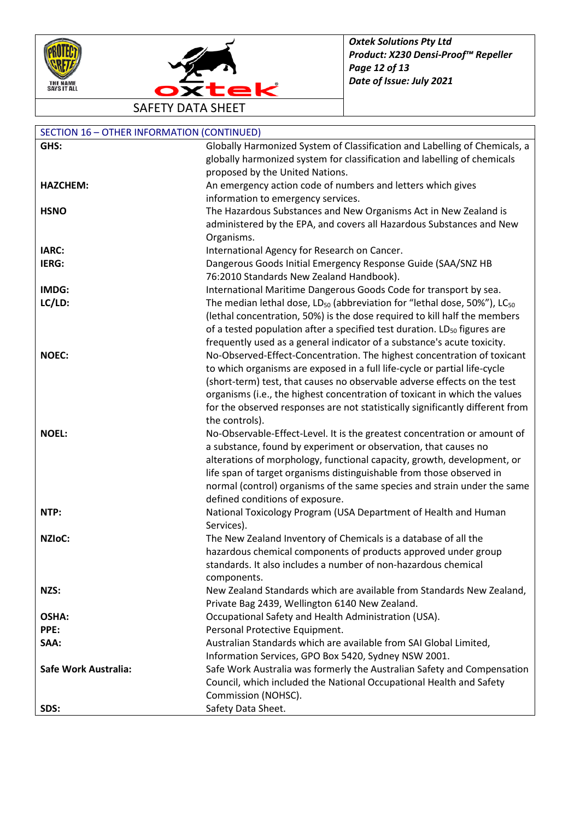



SAFETY DATA SHEET

| <b>SECTION 16 - OTHER INFORMATION (CONTINUED)</b> |                                                                                                        |
|---------------------------------------------------|--------------------------------------------------------------------------------------------------------|
| GHS:                                              | Globally Harmonized System of Classification and Labelling of Chemicals, a                             |
|                                                   | globally harmonized system for classification and labelling of chemicals                               |
|                                                   | proposed by the United Nations.                                                                        |
| <b>HAZCHEM:</b>                                   | An emergency action code of numbers and letters which gives                                            |
|                                                   | information to emergency services.                                                                     |
| <b>HSNO</b>                                       | The Hazardous Substances and New Organisms Act in New Zealand is                                       |
|                                                   | administered by the EPA, and covers all Hazardous Substances and New                                   |
|                                                   | Organisms.                                                                                             |
| IARC:                                             | International Agency for Research on Cancer.                                                           |
| IERG:                                             | Dangerous Goods Initial Emergency Response Guide (SAA/SNZ HB                                           |
|                                                   | 76:2010 Standards New Zealand Handbook).                                                               |
| IMDG:                                             | International Maritime Dangerous Goods Code for transport by sea.                                      |
| LC/LD:                                            | The median lethal dose, LD <sub>50</sub> (abbreviation for "lethal dose, 50%"), LC <sub>50</sub>       |
|                                                   | (lethal concentration, 50%) is the dose required to kill half the members                              |
|                                                   | of a tested population after a specified test duration. LD <sub>50</sub> figures are                   |
|                                                   | frequently used as a general indicator of a substance's acute toxicity.                                |
| <b>NOEC:</b>                                      | No-Observed-Effect-Concentration. The highest concentration of toxicant                                |
|                                                   | to which organisms are exposed in a full life-cycle or partial life-cycle                              |
|                                                   | (short-term) test, that causes no observable adverse effects on the test                               |
|                                                   | organisms (i.e., the highest concentration of toxicant in which the values                             |
|                                                   | for the observed responses are not statistically significantly different from                          |
|                                                   | the controls).                                                                                         |
| <b>NOEL:</b>                                      | No-Observable-Effect-Level. It is the greatest concentration or amount of                              |
|                                                   | a substance, found by experiment or observation, that causes no                                        |
|                                                   | alterations of morphology, functional capacity, growth, development, or                                |
|                                                   | life span of target organisms distinguishable from those observed in                                   |
|                                                   | normal (control) organisms of the same species and strain under the same                               |
|                                                   | defined conditions of exposure.                                                                        |
| NTP:                                              | National Toxicology Program (USA Department of Health and Human                                        |
|                                                   | Services).                                                                                             |
| NZIoC:                                            | The New Zealand Inventory of Chemicals is a database of all the                                        |
|                                                   | hazardous chemical components of products approved under group                                         |
|                                                   | standards. It also includes a number of non-hazardous chemical                                         |
| NZS:                                              | components.<br>New Zealand Standards which are available from Standards New Zealand,                   |
|                                                   |                                                                                                        |
| <b>OSHA:</b>                                      | Private Bag 2439, Wellington 6140 New Zealand.<br>Occupational Safety and Health Administration (USA). |
| PPE:                                              | Personal Protective Equipment.                                                                         |
| SAA:                                              | Australian Standards which are available from SAI Global Limited,                                      |
|                                                   | Information Services, GPO Box 5420, Sydney NSW 2001.                                                   |
| Safe Work Australia:                              | Safe Work Australia was formerly the Australian Safety and Compensation                                |
|                                                   | Council, which included the National Occupational Health and Safety                                    |
|                                                   | Commission (NOHSC).                                                                                    |
| SDS:                                              | Safety Data Sheet.                                                                                     |
|                                                   |                                                                                                        |